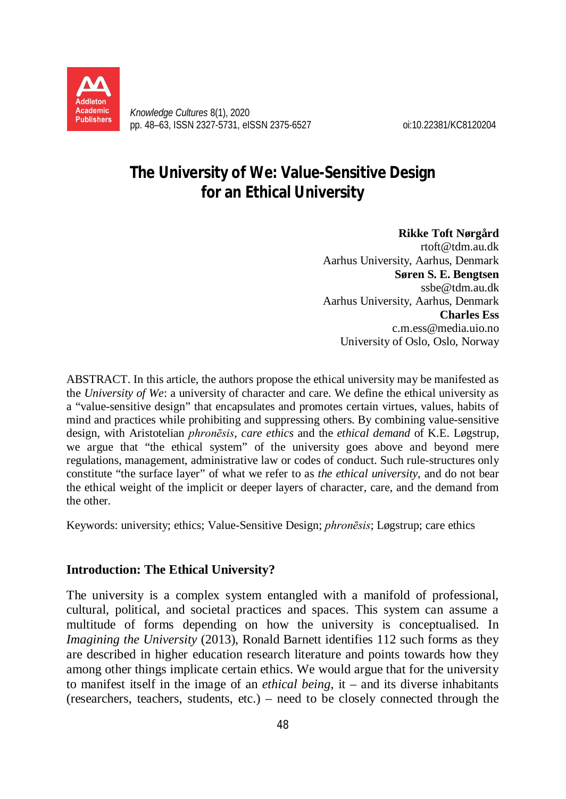

*Knowledge Cultures* 8(1), 2020 pp. 48–63, ISSN 2327-5731, eISSN 2375-6527 oi:10.22381/KC8120204

# **The University of We: Value-Sensitive Design for an Ethical University**

**Rikke Toft Nørgård**  [rtoft@tdm.au.dk](mailto:rtoft@tdm.au.dk) Aarhus University, Aarhus, Denmark **Søren S. E. Bengtsen** [ssbe@tdm.au.dk](mailto:ssbe@tdm.au.dk)  Aarhus University, Aarhus, Denmark **Charles Ess**  [c.m.ess@media.uio.no](mailto:c.m.ess@media.uio.no) University of Oslo, Oslo, Norway

ABSTRACT. In this article, the authors propose the ethical university may be manifested as the *University of We*: a university of character and care. We define the ethical university as a "value-sensitive design" that encapsulates and promotes certain virtues, values, habits of mind and practices while prohibiting and suppressing others. By combining value-sensitive design, with Aristotelian *phronēsis*, *care ethics* and the *ethical demand* of K.E. Løgstrup, we argue that "the ethical system" of the university goes above and beyond mere regulations, management, administrative law or codes of conduct. Such rule-structures only constitute "the surface layer" of what we refer to as *the ethical university*, and do not bear the ethical weight of the implicit or deeper layers of character, care, and the demand from the other.

Keywords: university; ethics; Value-Sensitive Design; *phronēsis*; Løgstrup; care ethics

## **Introduction: The Ethical University?**

The university is a complex system entangled with a manifold of professional, cultural, political, and societal practices and spaces. This system can assume a multitude of forms depending on how the university is conceptualised. In *Imagining the University* (2013), Ronald Barnett identifies 112 such forms as they are described in higher education research literature and points towards how they among other things implicate certain ethics. We would argue that for the university to manifest itself in the image of an *ethical being*, it – and its diverse inhabitants (researchers, teachers, students, etc.) – need to be closely connected through the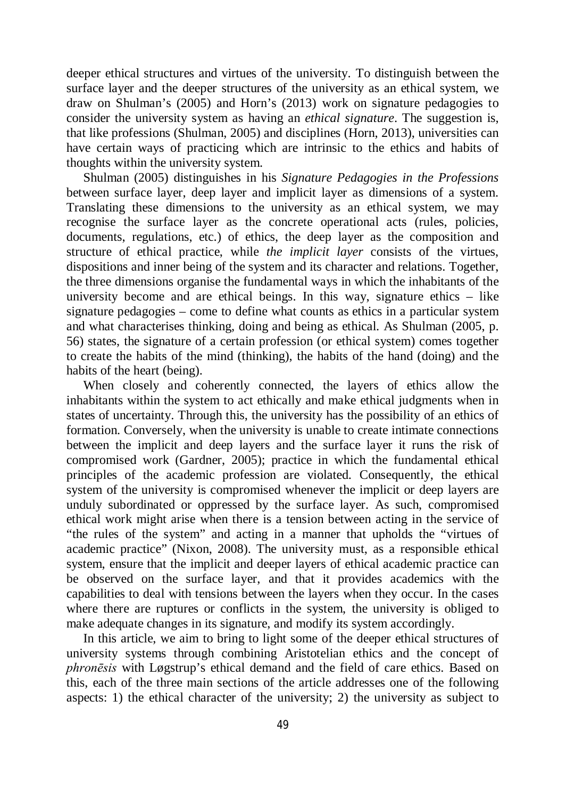deeper ethical structures and virtues of the university. To distinguish between the surface layer and the deeper structures of the university as an ethical system, we draw on Shulman's (2005) and Horn's (2013) work on signature pedagogies to consider the university system as having an *ethical signature*. The suggestion is, that like professions (Shulman, 2005) and disciplines (Horn, 2013), universities can have certain ways of practicing which are intrinsic to the ethics and habits of thoughts within the university system.

Shulman (2005) distinguishes in his *Signature Pedagogies in the Professions* between surface layer, deep layer and implicit layer as dimensions of a system. Translating these dimensions to the university as an ethical system, we may recognise the surface layer as the concrete operational acts (rules, policies, documents, regulations, etc.) of ethics, the deep layer as the composition and structure of ethical practice, while *the implicit layer* consists of the virtues, dispositions and inner being of the system and its character and relations. Together, the three dimensions organise the fundamental ways in which the inhabitants of the university become and are ethical beings. In this way, signature ethics – like signature pedagogies – come to define what counts as ethics in a particular system and what characterises thinking, doing and being as ethical. As Shulman (2005, p. 56) states, the signature of a certain profession (or ethical system) comes together to create the habits of the mind (thinking), the habits of the hand (doing) and the habits of the heart (being).

When closely and coherently connected, the layers of ethics allow the inhabitants within the system to act ethically and make ethical judgments when in states of uncertainty. Through this, the university has the possibility of an ethics of formation. Conversely, when the university is unable to create intimate connections between the implicit and deep layers and the surface layer it runs the risk of compromised work (Gardner, 2005); practice in which the fundamental ethical principles of the academic profession are violated. Consequently, the ethical system of the university is compromised whenever the implicit or deep layers are unduly subordinated or oppressed by the surface layer. As such, compromised ethical work might arise when there is a tension between acting in the service of "the rules of the system" and acting in a manner that upholds the "virtues of academic practice" (Nixon, 2008). The university must, as a responsible ethical system, ensure that the implicit and deeper layers of ethical academic practice can be observed on the surface layer, and that it provides academics with the capabilities to deal with tensions between the layers when they occur. In the cases where there are ruptures or conflicts in the system, the university is obliged to make adequate changes in its signature, and modify its system accordingly.

In this article, we aim to bring to light some of the deeper ethical structures of university systems through combining Aristotelian ethics and the concept of *phronēsis* with Løgstrup's ethical demand and the field of care ethics. Based on this, each of the three main sections of the article addresses one of the following aspects: 1) the ethical character of the university; 2) the university as subject to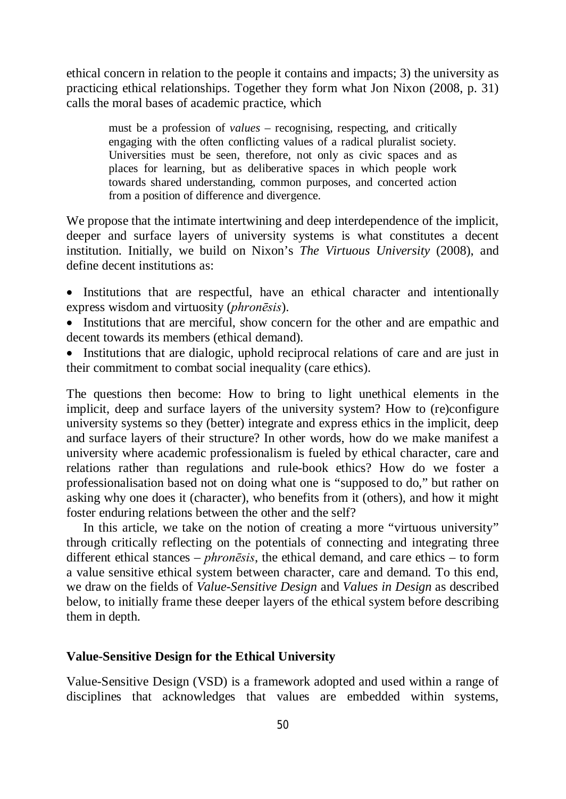ethical concern in relation to the people it contains and impacts; 3) the university as practicing ethical relationships. Together they form what Jon Nixon (2008, p. 31) calls the moral bases of academic practice, which

must be a profession of *values –* recognising, respecting, and critically engaging with the often conflicting values of a radical pluralist society. Universities must be seen, therefore, not only as civic spaces and as places for learning, but as deliberative spaces in which people work towards shared understanding, common purposes, and concerted action from a position of difference and divergence.

We propose that the intimate intertwining and deep interdependence of the implicit, deeper and surface layers of university systems is what constitutes a decent institution. Initially, we build on Nixon's *The Virtuous University* (2008), and define decent institutions as:

- Institutions that are respectful, have an ethical character and intentionally express wisdom and virtuosity (*phronēsis*).
- Institutions that are merciful, show concern for the other and are empathic and decent towards its members (ethical demand).
- Institutions that are dialogic, uphold reciprocal relations of care and are just in their commitment to combat social inequality (care ethics).

The questions then become: How to bring to light unethical elements in the implicit, deep and surface layers of the university system? How to (re)configure university systems so they (better) integrate and express ethics in the implicit, deep and surface layers of their structure? In other words, how do we make manifest a university where academic professionalism is fueled by ethical character, care and relations rather than regulations and rule-book ethics? How do we foster a professionalisation based not on doing what one is "supposed to do," but rather on asking why one does it (character), who benefits from it (others), and how it might foster enduring relations between the other and the self?

In this article, we take on the notion of creating a more "virtuous university" through critically reflecting on the potentials of connecting and integrating three different ethical stances – *phronēsis*, the ethical demand, and care ethics – to form a value sensitive ethical system between character, care and demand. To this end, we draw on the fields of *Value-Sensitive Design* and *Values in Design* as described below, to initially frame these deeper layers of the ethical system before describing them in depth.

## **Value-Sensitive Design for the Ethical University**

Value-Sensitive Design (VSD) is a framework adopted and used within a range of disciplines that acknowledges that values are embedded within systems,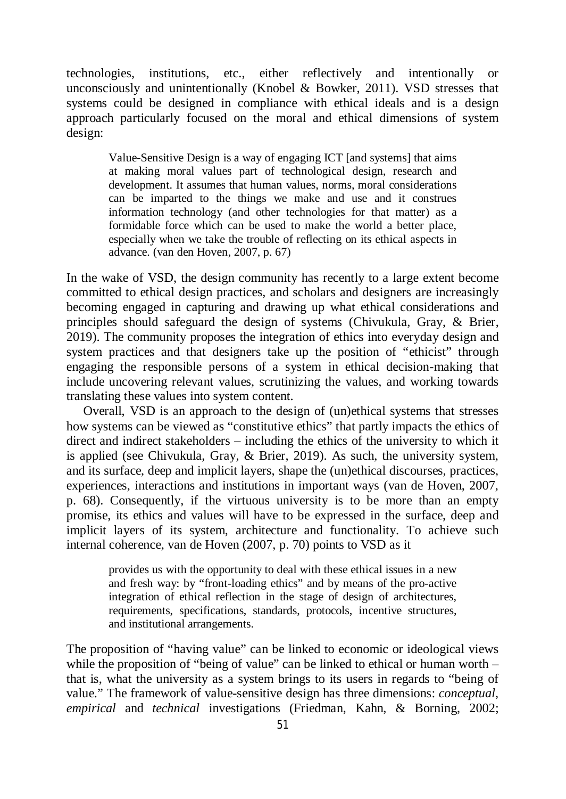technologies, institutions, etc., either reflectively and intentionally or unconsciously and unintentionally (Knobel  $\&$  Bowker, 2011). VSD stresses that systems could be designed in compliance with ethical ideals and is a design approach particularly focused on the moral and ethical dimensions of system design:

Value-Sensitive Design is a way of engaging ICT [and systems] that aims at making moral values part of technological design, research and development. It assumes that human values, norms, moral considerations can be imparted to the things we make and use and it construes information technology (and other technologies for that matter) as a formidable force which can be used to make the world a better place, especially when we take the trouble of reflecting on its ethical aspects in advance. (van den Hoven, 2007, p. 67)

In the wake of VSD, the design community has recently to a large extent become committed to ethical design practices, and scholars and designers are increasingly becoming engaged in capturing and drawing up what ethical considerations and principles should safeguard the design of systems (Chivukula, Gray, & Brier, 2019). The community proposes the integration of ethics into everyday design and system practices and that designers take up the position of "ethicist" through engaging the responsible persons of a system in ethical decision-making that include uncovering relevant values, scrutinizing the values, and working towards translating these values into system content.

Overall, VSD is an approach to the design of (un)ethical systems that stresses how systems can be viewed as "constitutive ethics" that partly impacts the ethics of direct and indirect stakeholders – including the ethics of the university to which it is applied (see Chivukula, Gray, & Brier, 2019). As such, the university system, and its surface, deep and implicit layers, shape the (un)ethical discourses, practices, experiences, interactions and institutions in important ways (van de Hoven, 2007, p. 68). Consequently, if the virtuous university is to be more than an empty promise, its ethics and values will have to be expressed in the surface, deep and implicit layers of its system, architecture and functionality. To achieve such internal coherence, van de Hoven (2007, p. 70) points to VSD as it

provides us with the opportunity to deal with these ethical issues in a new and fresh way: by "front-loading ethics" and by means of the pro-active integration of ethical reflection in the stage of design of architectures, requirements, specifications, standards, protocols, incentive structures, and institutional arrangements.

The proposition of "having value" can be linked to economic or ideological views while the proposition of "being of value" can be linked to ethical or human worth – that is, what the university as a system brings to its users in regards to "being of value." The framework of value-sensitive design has three dimensions: *conceptual*, *empirical* and *technical* investigations (Friedman, Kahn, & Borning, 2002;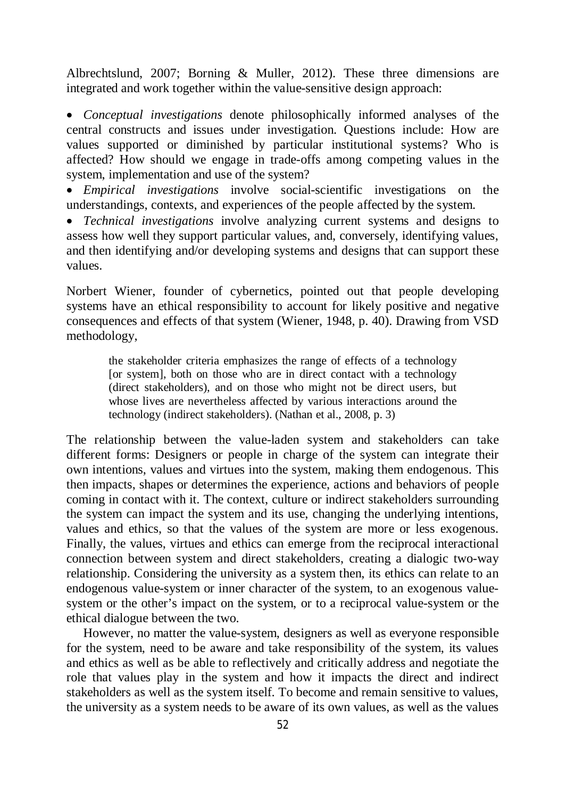Albrechtslund, 2007; Borning & Muller, 2012). These three dimensions are integrated and work together within the value-sensitive design approach:

 *Conceptual investigations* denote philosophically informed analyses of the central constructs and issues under investigation. Questions include: How are values supported or diminished by particular institutional systems? Who is affected? How should we engage in trade-offs among competing values in the system, implementation and use of the system?

 *Empirical investigations* involve social-scientific investigations on the understandings, contexts, and experiences of the people affected by the system.

 *Technical investigations* involve analyzing current systems and designs to assess how well they support particular values, and, conversely, identifying values, and then identifying and/or developing systems and designs that can support these values.

Norbert Wiener, founder of cybernetics, pointed out that people developing systems have an ethical responsibility to account for likely positive and negative consequences and effects of that system (Wiener, 1948, p. 40). Drawing from VSD methodology,

the stakeholder criteria emphasizes the range of effects of a technology [or system], both on those who are in direct contact with a technology (direct stakeholders), and on those who might not be direct users, but whose lives are nevertheless affected by various interactions around the technology (indirect stakeholders). (Nathan et al., 2008, p. 3)

The relationship between the value-laden system and stakeholders can take different forms: Designers or people in charge of the system can integrate their own intentions, values and virtues into the system, making them endogenous. This then impacts, shapes or determines the experience, actions and behaviors of people coming in contact with it. The context, culture or indirect stakeholders surrounding the system can impact the system and its use, changing the underlying intentions, values and ethics, so that the values of the system are more or less exogenous. Finally, the values, virtues and ethics can emerge from the reciprocal interactional connection between system and direct stakeholders, creating a dialogic two-way relationship. Considering the university as a system then, its ethics can relate to an endogenous value-system or inner character of the system, to an exogenous valuesystem or the other's impact on the system, or to a reciprocal value-system or the ethical dialogue between the two.

However, no matter the value-system, designers as well as everyone responsible for the system, need to be aware and take responsibility of the system, its values and ethics as well as be able to reflectively and critically address and negotiate the role that values play in the system and how it impacts the direct and indirect stakeholders as well as the system itself. To become and remain sensitive to values, the university as a system needs to be aware of its own values, as well as the values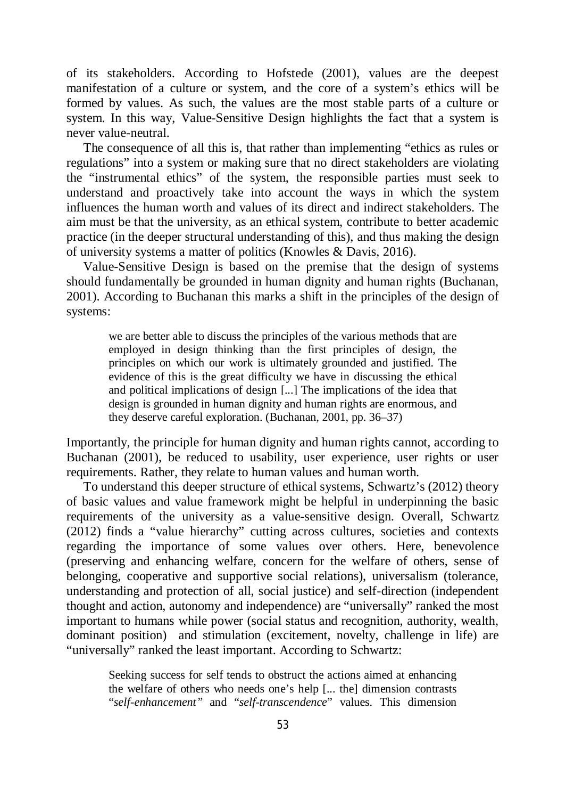of its stakeholders. According to Hofstede (2001), values are the deepest manifestation of a culture or system, and the core of a system's ethics will be formed by values. As such, the values are the most stable parts of a culture or system. In this way, Value-Sensitive Design highlights the fact that a system is never value-neutral.

The consequence of all this is, that rather than implementing "ethics as rules or regulations" into a system or making sure that no direct stakeholders are violating the "instrumental ethics" of the system, the responsible parties must seek to understand and proactively take into account the ways in which the system influences the human worth and values of its direct and indirect stakeholders. The aim must be that the university, as an ethical system, contribute to better academic practice (in the deeper structural understanding of this), and thus making the design of university systems a matter of politics (Knowles & Davis, 2016).

Value-Sensitive Design is based on the premise that the design of systems should fundamentally be grounded in human dignity and human rights (Buchanan, 2001). According to Buchanan this marks a shift in the principles of the design of systems:

we are better able to discuss the principles of the various methods that are employed in design thinking than the first principles of design, the principles on which our work is ultimately grounded and justified. The evidence of this is the great difficulty we have in discussing the ethical and political implications of design [...] The implications of the idea that design is grounded in human dignity and human rights are enormous, and they deserve careful exploration. (Buchanan, 2001, pp. 36–37)

Importantly, the principle for human dignity and human rights cannot, according to Buchanan (2001), be reduced to usability, user experience, user rights or user requirements. Rather, they relate to human values and human worth.

To understand this deeper structure of ethical systems, Schwartz's (2012) theory of basic values and value framework might be helpful in underpinning the basic requirements of the university as a value-sensitive design. Overall, Schwartz (2012) finds a "value hierarchy" cutting across cultures, societies and contexts regarding the importance of some values over others. Here, benevolence (preserving and enhancing welfare, concern for the welfare of others, sense of belonging, cooperative and supportive social relations), universalism (tolerance, understanding and protection of all, social justice) and self-direction (independent thought and action, autonomy and independence) are "universally" ranked the most important to humans while power (social status and recognition, authority, wealth, dominant position) and stimulation (excitement, novelty, challenge in life) are "universally" ranked the least important. According to Schwartz:

Seeking success for self tends to obstruct the actions aimed at enhancing the welfare of others who needs one's help [... the] dimension contrasts "*self-enhancement"* and "*self-transcendence*" values. This dimension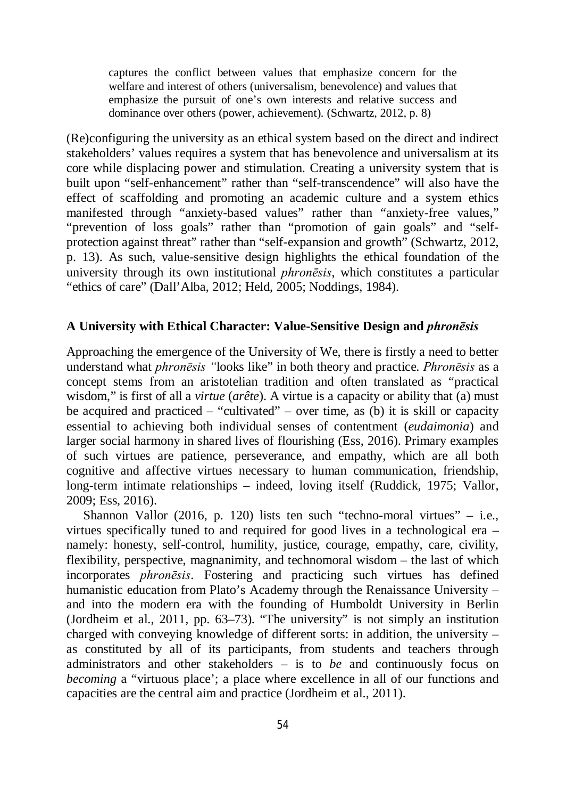captures the conflict between values that emphasize concern for the welfare and interest of others (universalism, benevolence) and values that emphasize the pursuit of one's own interests and relative success and dominance over others (power, achievement). (Schwartz, 2012, p. 8)

(Re)configuring the university as an ethical system based on the direct and indirect stakeholders' values requires a system that has benevolence and universalism at its core while displacing power and stimulation. Creating a university system that is built upon "self-enhancement" rather than "self-transcendence" will also have the effect of scaffolding and promoting an academic culture and a system ethics manifested through "anxiety-based values" rather than "anxiety-free values," "prevention of loss goals" rather than "promotion of gain goals" and "selfprotection against threat" rather than "self-expansion and growth" (Schwartz, 2012, p. 13). As such, value-sensitive design highlights the ethical foundation of the university through its own institutional *phronēsis*, which constitutes a particular "ethics of care" (Dall'Alba, 2012; Held, 2005; Noddings, 1984).

#### **A University with Ethical Character: Value-Sensitive Design and** *phronēsis*

Approaching the emergence of the University of We, there is firstly a need to better understand what *phronēsis "*looks like" in both theory and practice. *Phronēsis* as a concept stems from an aristotelian tradition and often translated as "practical wisdom," is first of all a *virtue* (*arête*). A virtue is a capacity or ability that (a) must be acquired and practiced – "cultivated" – over time, as (b) it is skill or capacity essential to achieving both individual senses of contentment (*eudaimonia*) and larger social harmony in shared lives of flourishing (Ess, 2016). Primary examples of such virtues are patience, perseverance, and empathy, which are all both cognitive and affective virtues necessary to human communication, friendship, long-term intimate relationships – indeed, loving itself (Ruddick, 1975; Vallor, 2009; Ess, 2016).

Shannon Vallor (2016, p. 120) lists ten such "techno-moral virtues" – i.e., virtues specifically tuned to and required for good lives in a technological era – namely: honesty, self-control, humility, justice, courage, empathy, care, civility, flexibility, perspective, magnanimity, and technomoral wisdom – the last of which incorporates *phronēsis*. Fostering and practicing such virtues has defined humanistic education from Plato's Academy through the Renaissance University – and into the modern era with the founding of Humboldt University in Berlin (Jordheim et al., 2011, pp. 63–73). "The university" is not simply an institution charged with conveying knowledge of different sorts: in addition, the university – as constituted by all of its participants, from students and teachers through administrators and other stakeholders – is to *be* and continuously focus on *becoming* a "virtuous place'; a place where excellence in all of our functions and capacities are the central aim and practice (Jordheim et al., 2011).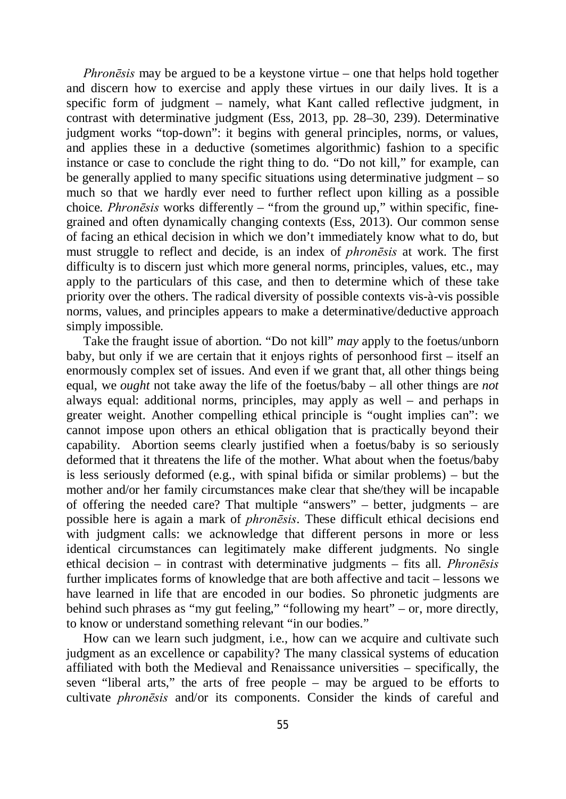*Phronēsis* may be argued to be a keystone virtue – one that helps hold together and discern how to exercise and apply these virtues in our daily lives. It is a specific form of judgment – namely, what Kant called reflective judgment, in contrast with determinative judgment (Ess, 2013, pp. 28–30, 239). Determinative judgment works "top-down": it begins with general principles, norms, or values, and applies these in a deductive (sometimes algorithmic) fashion to a specific instance or case to conclude the right thing to do. "Do not kill," for example, can be generally applied to many specific situations using determinative judgment – so much so that we hardly ever need to further reflect upon killing as a possible choice. *Phronēsis* works differently – "from the ground up," within specific, finegrained and often dynamically changing contexts (Ess, 2013). Our common sense of facing an ethical decision in which we don't immediately know what to do, but must struggle to reflect and decide, is an index of *phronēsis* at work. The first difficulty is to discern just which more general norms, principles, values, etc., may apply to the particulars of this case, and then to determine which of these take priority over the others. The radical diversity of possible contexts vis-à-vis possible norms, values, and principles appears to make a determinative/deductive approach simply impossible.

Take the fraught issue of abortion. "Do not kill" *may* apply to the foetus/unborn baby, but only if we are certain that it enjoys rights of personhood first – itself an enormously complex set of issues. And even if we grant that, all other things being equal, we *ought* not take away the life of the foetus/baby – all other things are *not* always equal: additional norms, principles, may apply as well – and perhaps in greater weight. Another compelling ethical principle is "ought implies can": we cannot impose upon others an ethical obligation that is practically beyond their capability. Abortion seems clearly justified when a foetus/baby is so seriously deformed that it threatens the life of the mother. What about when the foetus/baby is less seriously deformed (e.g., with spinal bifida or similar problems) – but the mother and/or her family circumstances make clear that she/they will be incapable of offering the needed care? That multiple "answers" – better, judgments – are possible here is again a mark of *phronēsis*. These difficult ethical decisions end with judgment calls: we acknowledge that different persons in more or less identical circumstances can legitimately make different judgments. No single ethical decision – in contrast with determinative judgments – fits all. *Phronēsis*  further implicates forms of knowledge that are both affective and tacit – lessons we have learned in life that are encoded in our bodies. So phronetic judgments are behind such phrases as "my gut feeling," "following my heart" – or, more directly, to know or understand something relevant "in our bodies."

How can we learn such judgment, i.e., how can we acquire and cultivate such judgment as an excellence or capability? The many classical systems of education affiliated with both the Medieval and Renaissance universities – specifically, the seven "liberal arts," the arts of free people – may be argued to be efforts to cultivate *phronēsis* and/or its components. Consider the kinds of careful and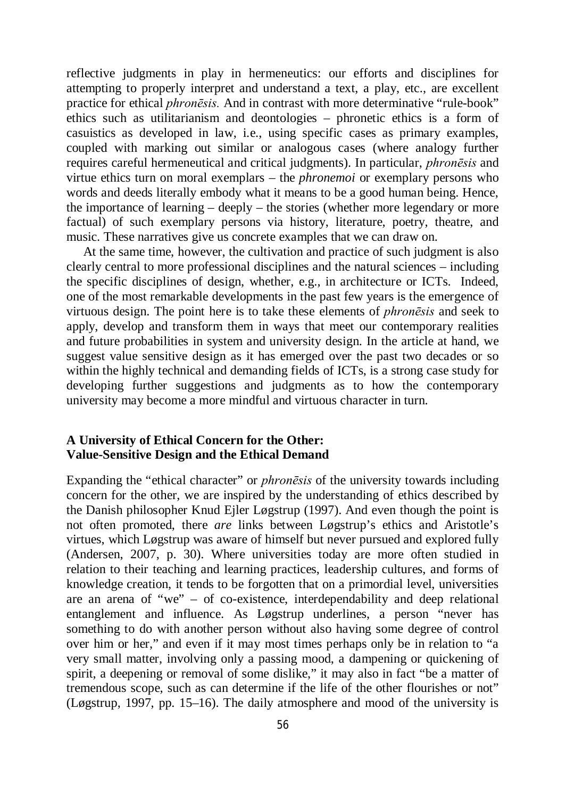reflective judgments in play in hermeneutics: our efforts and disciplines for attempting to properly interpret and understand a text, a play, etc., are excellent practice for ethical *phronēsis.* And in contrast with more determinative "rule-book" ethics such as utilitarianism and deontologies – phronetic ethics is a form of casuistics as developed in law, i.e., using specific cases as primary examples, coupled with marking out similar or analogous cases (where analogy further requires careful hermeneutical and critical judgments). In particular, *phronēsis* and virtue ethics turn on moral exemplars – the *phronemoi* or exemplary persons who words and deeds literally embody what it means to be a good human being. Hence, the importance of learning – deeply – the stories (whether more legendary or more factual) of such exemplary persons via history, literature, poetry, theatre, and music. These narratives give us concrete examples that we can draw on.

At the same time, however, the cultivation and practice of such judgment is also clearly central to more professional disciplines and the natural sciences – including the specific disciplines of design, whether, e.g., in architecture or ICTs. Indeed, one of the most remarkable developments in the past few years is the emergence of virtuous design. The point here is to take these elements of *phronēsis* and seek to apply, develop and transform them in ways that meet our contemporary realities and future probabilities in system and university design. In the article at hand, we suggest value sensitive design as it has emerged over the past two decades or so within the highly technical and demanding fields of ICTs, is a strong case study for developing further suggestions and judgments as to how the contemporary university may become a more mindful and virtuous character in turn.

# **A University of Ethical Concern for the Other: Value-Sensitive Design and the Ethical Demand**

Expanding the "ethical character" or *phronēsis* of the university towards including concern for the other, we are inspired by the understanding of ethics described by the Danish philosopher Knud Ejler Løgstrup (1997). And even though the point is not often promoted, there *are* links between Løgstrup's ethics and Aristotle's virtues, which Løgstrup was aware of himself but never pursued and explored fully (Andersen, 2007, p. 30). Where universities today are more often studied in relation to their teaching and learning practices, leadership cultures, and forms of knowledge creation, it tends to be forgotten that on a primordial level, universities are an arena of "we" – of co-existence, interdependability and deep relational entanglement and influence. As Løgstrup underlines, a person "never has something to do with another person without also having some degree of control over him or her," and even if it may most times perhaps only be in relation to "a very small matter, involving only a passing mood, a dampening or quickening of spirit, a deepening or removal of some dislike," it may also in fact "be a matter of tremendous scope, such as can determine if the life of the other flourishes or not" (Løgstrup, 1997, pp. 15–16). The daily atmosphere and mood of the university is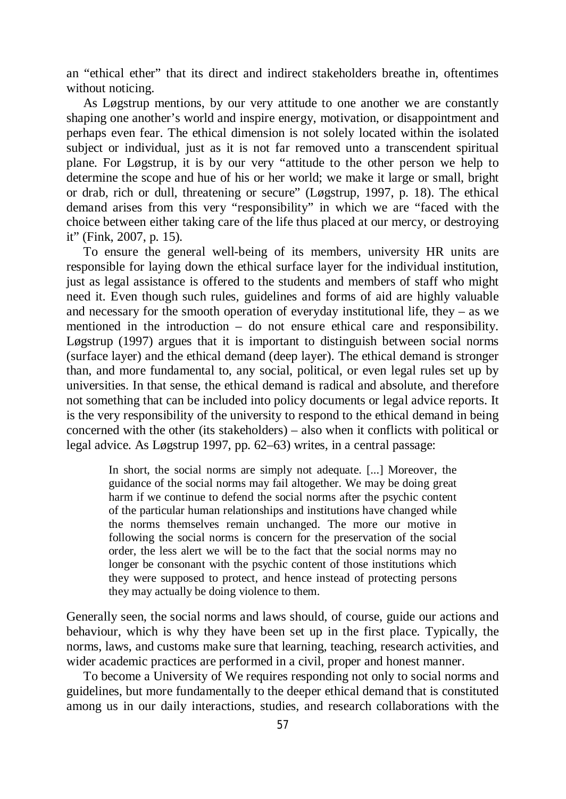an "ethical ether" that its direct and indirect stakeholders breathe in, oftentimes without noticing.

As Løgstrup mentions, by our very attitude to one another we are constantly shaping one another's world and inspire energy, motivation, or disappointment and perhaps even fear. The ethical dimension is not solely located within the isolated subject or individual, just as it is not far removed unto a transcendent spiritual plane. For Løgstrup, it is by our very "attitude to the other person we help to determine the scope and hue of his or her world; we make it large or small, bright or drab, rich or dull, threatening or secure" (Løgstrup, 1997, p. 18). The ethical demand arises from this very "responsibility" in which we are "faced with the choice between either taking care of the life thus placed at our mercy, or destroying it" (Fink, 2007, p. 15).

To ensure the general well-being of its members, university HR units are responsible for laying down the ethical surface layer for the individual institution, just as legal assistance is offered to the students and members of staff who might need it. Even though such rules, guidelines and forms of aid are highly valuable and necessary for the smooth operation of everyday institutional life, they – as we mentioned in the introduction – do not ensure ethical care and responsibility. Løgstrup (1997) argues that it is important to distinguish between social norms (surface layer) and the ethical demand (deep layer). The ethical demand is stronger than, and more fundamental to, any social, political, or even legal rules set up by universities. In that sense, the ethical demand is radical and absolute, and therefore not something that can be included into policy documents or legal advice reports. It is the very responsibility of the university to respond to the ethical demand in being concerned with the other (its stakeholders) – also when it conflicts with political or legal advice. As Løgstrup 1997, pp. 62–63) writes, in a central passage:

In short, the social norms are simply not adequate. [...] Moreover, the guidance of the social norms may fail altogether. We may be doing great harm if we continue to defend the social norms after the psychic content of the particular human relationships and institutions have changed while the norms themselves remain unchanged. The more our motive in following the social norms is concern for the preservation of the social order, the less alert we will be to the fact that the social norms may no longer be consonant with the psychic content of those institutions which they were supposed to protect, and hence instead of protecting persons they may actually be doing violence to them.

Generally seen, the social norms and laws should, of course, guide our actions and behaviour, which is why they have been set up in the first place. Typically, the norms, laws, and customs make sure that learning, teaching, research activities, and wider academic practices are performed in a civil, proper and honest manner.

To become a University of We requires responding not only to social norms and guidelines, but more fundamentally to the deeper ethical demand that is constituted among us in our daily interactions, studies, and research collaborations with the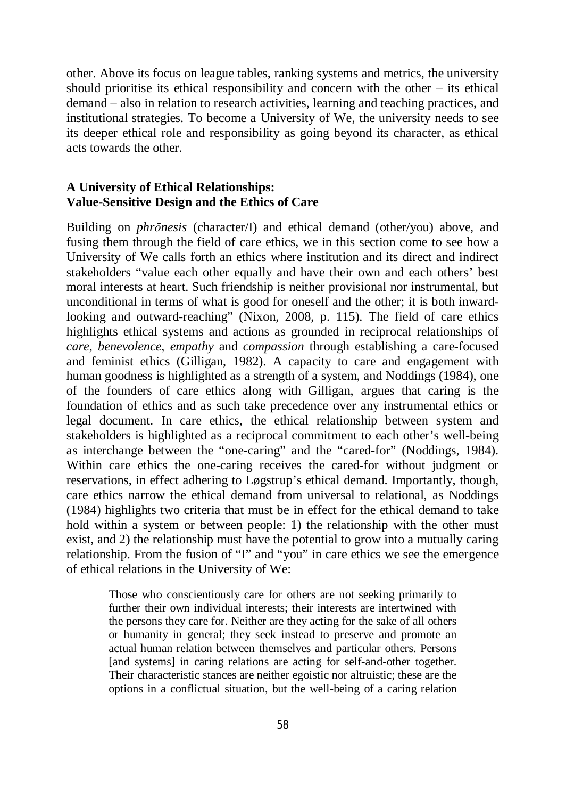other. Above its focus on league tables, ranking systems and metrics, the university should prioritise its ethical responsibility and concern with the other – its ethical demand – also in relation to research activities, learning and teaching practices, and institutional strategies. To become a University of We, the university needs to see its deeper ethical role and responsibility as going beyond its character, as ethical acts towards the other.

# **A University of Ethical Relationships: Value-Sensitive Design and the Ethics of Care**

Building on *phrōnesis* (character/I) and ethical demand (other/you) above, and fusing them through the field of care ethics, we in this section come to see how a University of We calls forth an ethics where institution and its direct and indirect stakeholders "value each other equally and have their own and each others' best moral interests at heart. Such friendship is neither provisional nor instrumental, but unconditional in terms of what is good for oneself and the other; it is both inwardlooking and outward-reaching" (Nixon, 2008, p. 115). The field of care ethics highlights ethical systems and actions as grounded in reciprocal relationships of *care*, *benevolence*, *empathy* and *compassion* through establishing a care-focused and feminist ethics (Gilligan, 1982). A capacity to care and engagement with human goodness is highlighted as a strength of a system, and Noddings (1984), one of the founders of care ethics along with Gilligan, argues that caring is the foundation of ethics and as such take precedence over any instrumental ethics or legal document. In care ethics, the ethical relationship between system and stakeholders is highlighted as a reciprocal commitment to each other's well-being as interchange between the "one-caring" and the "cared-for" (Noddings, 1984). Within care ethics the one-caring receives the cared-for without judgment or reservations, in effect adhering to Løgstrup's ethical demand. Importantly, though, care ethics narrow the ethical demand from universal to relational, as Noddings (1984) highlights two criteria that must be in effect for the ethical demand to take hold within a system or between people: 1) the relationship with the other must exist, and 2) the relationship must have the potential to grow into a mutually caring relationship. From the fusion of "I" and "you" in care ethics we see the emergence of ethical relations in the University of We:

Those who conscientiously care for others are not seeking primarily to further their own individual interests; their interests are intertwined with the persons they care for. Neither are they acting for the sake of all others or humanity in general; they seek instead to preserve and promote an actual human relation between themselves and particular others. Persons [and systems] in caring relations are acting for self-and-other together. Their characteristic stances are neither egoistic nor altruistic; these are the options in a conflictual situation, but the well-being of a caring relation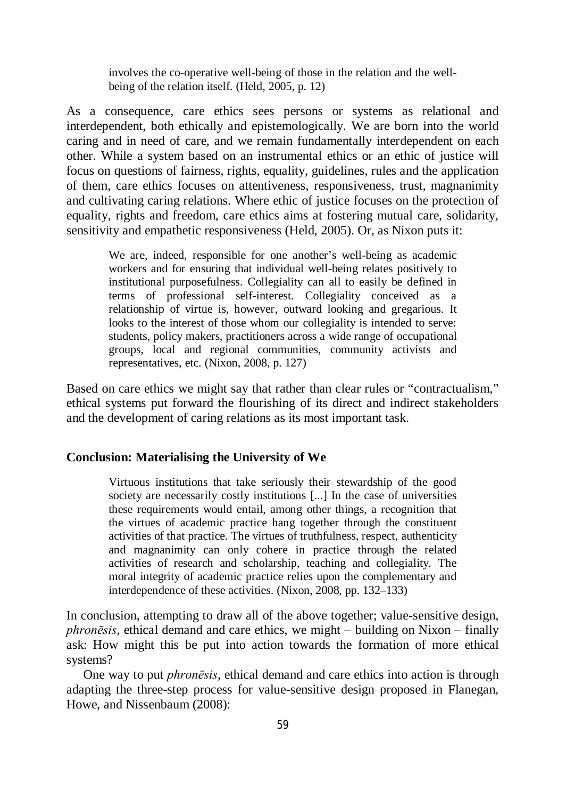involves the co-operative well-being of those in the relation and the wellbeing of the relation itself. (Held, 2005, p. 12)

As a consequence, care ethics sees persons or systems as relational and interdependent, both ethically and epistemologically. We are born into the world caring and in need of care, and we remain fundamentally interdependent on each other. While a system based on an instrumental ethics or an ethic of justice will focus on questions of fairness, rights, equality, guidelines, rules and the application of them, care ethics focuses on attentiveness, responsiveness, trust, magnanimity and cultivating caring relations. Where ethic of justice focuses on the protection of equality, rights and freedom, care ethics aims at fostering mutual care, solidarity, sensitivity and empathetic responsiveness (Held, 2005). Or, as Nixon puts it:

We are, indeed, responsible for one another's well-being as academic workers and for ensuring that individual well-being relates positively to institutional purposefulness. Collegiality can all to easily be defined in terms of professional self-interest. Collegiality conceived as a relationship of virtue is, however, outward looking and gregarious. It looks to the interest of those whom our collegiality is intended to serve: students, policy makers, practitioners across a wide range of occupational groups, local and regional communities, community activists and representatives, etc. (Nixon, 2008, p. 127)

Based on care ethics we might say that rather than clear rules or "contractualism," ethical systems put forward the flourishing of its direct and indirect stakeholders and the development of caring relations as its most important task.

## **Conclusion: Materialising the University of We**

Virtuous institutions that take seriously their stewardship of the good society are necessarily costly institutions [...] In the case of universities these requirements would entail, among other things, a recognition that the virtues of academic practice hang together through the constituent activities of that practice. The virtues of truthfulness, respect, authenticity and magnanimity can only cohere in practice through the related activities of research and scholarship, teaching and collegiality. The moral integrity of academic practice relies upon the complementary and interdependence of these activities. (Nixon, 2008, pp. 132–133)

In conclusion, attempting to draw all of the above together; value-sensitive design, *phronēsis*, ethical demand and care ethics, we might – building on Nixon – finally ask: How might this be put into action towards the formation of more ethical systems?

One way to put *phronēsis*, ethical demand and care ethics into action is through adapting the three-step process for value-sensitive design proposed in Flanegan, Howe, and Nissenbaum (2008):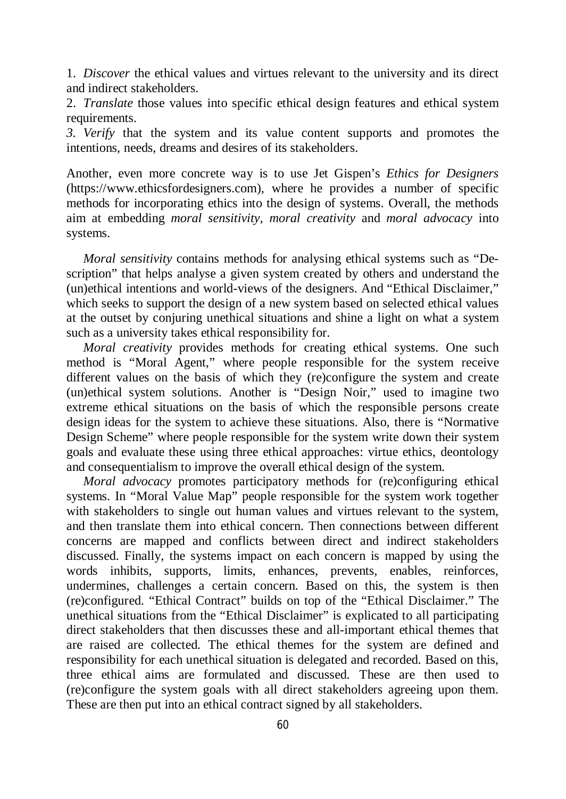1. *Discover* the ethical values and virtues relevant to the university and its direct and indirect stakeholders.

2. *Translate* those values into specific ethical design features and ethical system requirements.

*3. Verify* that the system and its value content supports and promotes the intentions, needs, dreams and desires of its stakeholders.

Another, even more concrete way is to use Jet Gispen's *Ethics for Designers* [\(https://www.ethicsfordesigners.com\),](https://www.ethicsfordesigners.com),) where he provides a number of specific methods for incorporating ethics into the design of systems. Overall, the methods aim at embedding *moral sensitivity*, *moral creativity* and *moral advocacy* into systems.

*Moral sensitivity* contains methods for analysing ethical systems such as "Description" that helps analyse a given system created by others and understand the (un)ethical intentions and world-views of the designers. And "Ethical Disclaimer," which seeks to support the design of a new system based on selected ethical values at the outset by conjuring unethical situations and shine a light on what a system such as a university takes ethical responsibility for.

*Moral creativity* provides methods for creating ethical systems. One such method is "Moral Agent," where people responsible for the system receive different values on the basis of which they (re)configure the system and create (un)ethical system solutions. Another is "Design Noir," used to imagine two extreme ethical situations on the basis of which the responsible persons create design ideas for the system to achieve these situations. Also, there is "Normative Design Scheme" where people responsible for the system write down their system goals and evaluate these using three ethical approaches: virtue ethics, deontology and consequentialism to improve the overall ethical design of the system.

*Moral advocacy* promotes participatory methods for (re)configuring ethical systems. In "Moral Value Map" people responsible for the system work together with stakeholders to single out human values and virtues relevant to the system, and then translate them into ethical concern. Then connections between different concerns are mapped and conflicts between direct and indirect stakeholders discussed. Finally, the systems impact on each concern is mapped by using the words inhibits, supports, limits, enhances, prevents, enables, reinforces, undermines, challenges a certain concern. Based on this, the system is then (re)configured. "Ethical Contract" builds on top of the "Ethical Disclaimer." The unethical situations from the "Ethical Disclaimer" is explicated to all participating direct stakeholders that then discusses these and all-important ethical themes that are raised are collected. The ethical themes for the system are defined and responsibility for each unethical situation is delegated and recorded. Based on this, three ethical aims are formulated and discussed. These are then used to (re)configure the system goals with all direct stakeholders agreeing upon them. These are then put into an ethical contract signed by all stakeholders.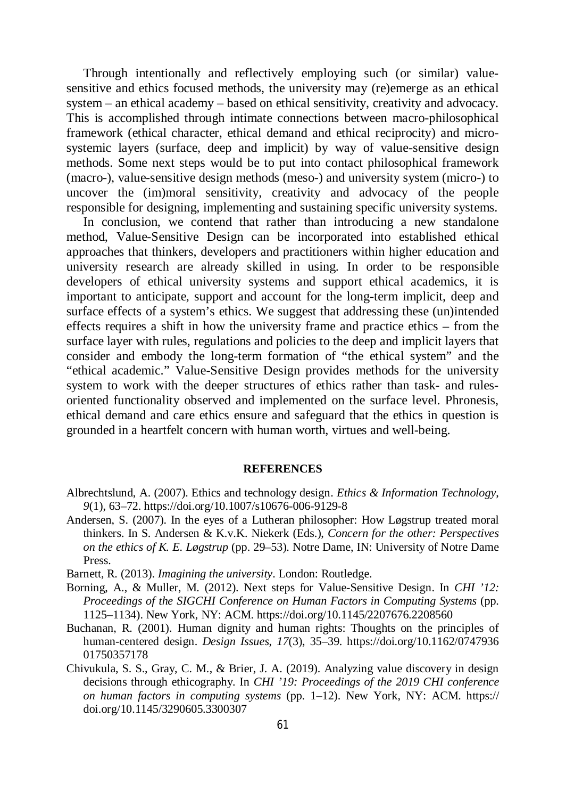Through intentionally and reflectively employing such (or similar) valuesensitive and ethics focused methods, the university may (re)emerge as an ethical system – an ethical academy – based on ethical sensitivity, creativity and advocacy. This is accomplished through intimate connections between macro-philosophical framework (ethical character, ethical demand and ethical reciprocity) and microsystemic layers (surface, deep and implicit) by way of value-sensitive design methods. Some next steps would be to put into contact philosophical framework (macro-), value-sensitive design methods (meso-) and university system (micro-) to uncover the (im)moral sensitivity, creativity and advocacy of the people responsible for designing, implementing and sustaining specific university systems.

In conclusion, we contend that rather than introducing a new standalone method, Value-Sensitive Design can be incorporated into established ethical approaches that thinkers, developers and practitioners within higher education and university research are already skilled in using. In order to be responsible developers of ethical university systems and support ethical academics, it is important to anticipate, support and account for the long-term implicit, deep and surface effects of a system's ethics. We suggest that addressing these (un)intended effects requires a shift in how the university frame and practice ethics – from the surface layer with rules, regulations and policies to the deep and implicit layers that consider and embody the long-term formation of "the ethical system" and the "ethical academic." Value-Sensitive Design provides methods for the university system to work with the deeper structures of ethics rather than task- and rulesoriented functionality observed and implemented on the surface level. Phronesis, ethical demand and care ethics ensure and safeguard that the ethics in question is grounded in a heartfelt concern with human worth, virtues and well-being.

#### **REFERENCES**

- Albrechtslund, A. (2007). Ethics and technology design. *Ethics & Information Technology*, *9*(1), 63–72. <https://doi.org/10.1007/s10676-006-9129-8>
- Andersen, S. (2007). In the eyes of a Lutheran philosopher: How Løgstrup treated moral thinkers. In S. Andersen & K.v.K. Niekerk (Eds.), *Concern for the other: Perspectives on the ethics of K. E. Løgstrup* (pp. 29–53). Notre Dame, IN: University of Notre Dame Press.
- Barnett, R. (2013). *Imagining the university*. London: Routledge.
- Borning, A., & Muller, M. (2012). Next steps for Value-Sensitive Design. In *CHI '12: Proceedings of the SIGCHI Conference on Human Factors in Computing Systems (pp.* 1125–1134). New York, NY: ACM.<https://doi.org/10.1145/2207676.2208560>
- Buchanan, R. (2001). Human dignity and human rights: Thoughts on the principles of human-centered design. *Design Issues*, *17*(3), 35–39. <https://doi.org/10.1162/0747936> 01750357178
- Chivukula, S. S., Gray, C. M., & Brier, J. A. (2019). Analyzing value discovery in design decisions through ethicography. In *CHI '19: Proceedings of the 2019 CHI conference on human factors in computing systems* (pp. 1–12). New York, NY: ACM. <https://> doi.org/10.1145/3290605.3300307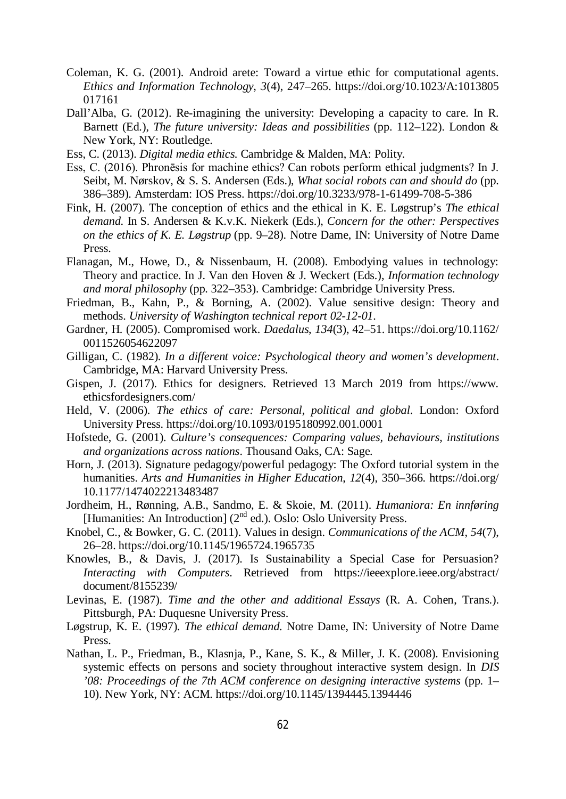- Coleman, K. G. (2001). Android arete: Toward a virtue ethic for computational agents. *Ethics and Information Technology*, *3*(4), 247–265. <https://doi.org/10.1023/A:1013805> 017161
- Dall'Alba, G. (2012). Re-imagining the university: Developing a capacity to care. In R. Barnett (Ed.), *The future university: Ideas and possibilities* (pp. 112–122). London & New York, NY: Routledge.
- Ess, C. (2013). *Digital media ethics*. Cambridge & Malden, MA: Polity.
- Ess, C. (2016). Phronēsis for machine ethics? Can robots perform ethical judgments? In J. Seibt, M. Nørskov, & S. S. Andersen (Eds.), *What social robots can and should do* (pp. 386–389). Amsterdam: IOS Press.<https://doi.org/10.3233/978-1-61499-708-5-386>
- Fink, H. (2007). The conception of ethics and the ethical in K. E. Løgstrup's *The ethical demand*. In S. Andersen & K.v.K. Niekerk (Eds.), *Concern for the other: Perspectives on the ethics of K. E. Løgstrup* (pp. 9–28). Notre Dame, IN: University of Notre Dame Press.
- Flanagan, M., Howe, D., & Nissenbaum, H. (2008). Embodying values in technology: Theory and practice. In J. Van den Hoven & J. Weckert (Eds.), *Information technology and moral philosophy* (pp. 322–353). Cambridge: Cambridge University Press.
- Friedman, B., Kahn, P., & Borning, A. (2002). Value sensitive design: Theory and methods. *University of Washington technical report 02-12-01*.
- Gardner, H. (2005). Compromised work. *Daedalus*, *134*(3), 42–51.<https://doi.org/10.1162/> 0011526054622097
- Gilligan, C. (1982). *In a different voice: Psychological theory and women's development*. Cambridge, MA: Harvard University Press.
- Gispen, J. (2017). Ethics for designers. Retrieved 13 March 2019 from <https://www.> ethicsfordesigners.com/
- Held, V. (2006). *The ethics of care: Personal, political and global*. London: Oxford University Press. <https://doi.org/10.1093/0195180992.001.0001>
- Hofstede, G. (2001). *Culture's consequences: Comparing values, behaviours, institutions and organizations across nations*. Thousand Oaks, CA: Sage.
- Horn, J. (2013). Signature pedagogy/powerful pedagogy: The Oxford tutorial system in the humanities. *Arts and Humanities in Higher Education*, *12*(4), 350–366. <https://doi.org/> 10.1177/1474022213483487
- Jordheim, H., Rønning, A.B., Sandmo, E. & Skoie, M. (2011). *Humaniora: En innføring* [Humanities: An Introduction] (2<sup>nd</sup> ed.). Oslo: Oslo University Press.
- Knobel, C., & Bowker, G. C. (2011). Values in design. *Communications of the ACM*, *54*(7), 26–28.<https://doi.org/10.1145/1965724.1965735>
- Knowles, B., & Davis, J. (2017). Is Sustainability a Special Case for Persuasion? *Interacting with Computers*. Retrieved from <https://ieeexplore.ieee.org/abstract/> document/8155239/
- Levinas, E. (1987). *Time and the other and additional Essays* (R. A. Cohen, Trans.). Pittsburgh, PA: Duquesne University Press.
- Løgstrup, K. E. (1997). *The ethical demand*. Notre Dame, IN: University of Notre Dame Press.
- Nathan, L. P., Friedman, B., Klasnja, P., Kane, S. K., & Miller, J. K. (2008). Envisioning systemic effects on persons and society throughout interactive system design. In *DIS '08: Proceedings of the 7th ACM conference on designing interactive systems* (pp. 1– 10). New York, NY: ACM. <https://doi.org/10.1145/1394445.1394446>